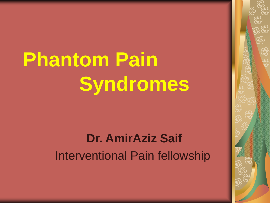# **Phantom Pain Syndromes**

## **Dr. AmirAziz Saif** Interventional Pain fellowship

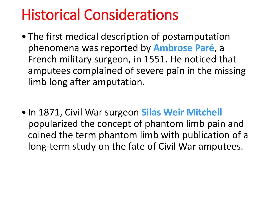# Historical Considerations

- The first medical description of postamputation phenomena was reported by **Ambrose Paré**, a French military surgeon, in 1551. He noticed that amputees complained of severe pain in the missing limb long after amputation.
- In 1871, Civil War surgeon **Silas Weir Mitchell**  popularized the concept of phantom limb pain and coined the term phantom limb with publication of a long-term study on the fate of Civil War amputees.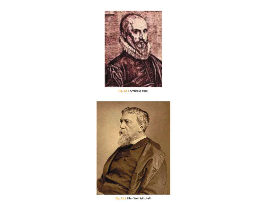

Fig. 32.1 Ambrose Paré.



Fig. 32.2 Silas Weir Mitchell.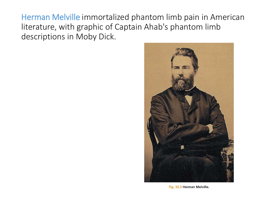Herman Melville immortalized phantom limb pain in American literature, with graphic of Captain Ahab's phantom limb descriptions in Moby Dick.



Fig. 32.3 Herman Melville.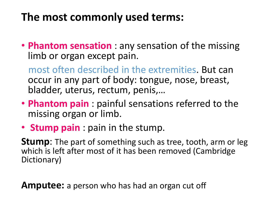## **The most commonly used terms:**

• **Phantom sensation** : any sensation of the missing limb or organ except pain.

most often described in the extremities. But can occur in any part of body: tongue, nose, breast, bladder, uterus, rectum, penis,…

- **Phantom pain** : painful sensations referred to the missing organ or limb.
- **Stump pain** : pain in the stump.

**Stump**: The part of something such as tree, tooth, arm or leg which is left after most of it has been removed (Cambridge Dictionary)

**Amputee:** a person who has had an organ cut off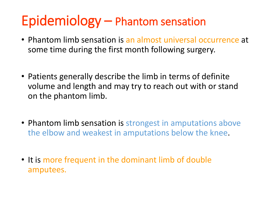# Epidemiology – Phantom sensation

- Phantom limb sensation is an almost universal occurrence at some time during the first month following surgery.
- Patients generally describe the limb in terms of definite volume and length and may try to reach out with or stand on the phantom limb.
- Phantom limb sensation is strongest in amputations above the elbow and weakest in amputations below the knee.
- It is more frequent in the dominant limb of double amputees.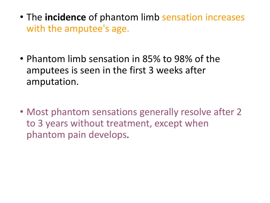- The **incidence** of phantom limb sensation increases with the amputee's age.
- Phantom limb sensation in 85% to 98% of the amputees is seen in the first 3 weeks after amputation.
- Most phantom sensations generally resolve after 2 to 3 years without treatment, except when phantom pain develops.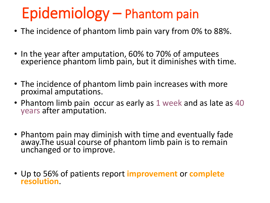# Epidemiology – Phantom pain

- The incidence of phantom limb pain vary from 0% to 88%.
- In the year after amputation, 60% to 70% of amputees experience phantom limb pain, but it diminishes with time.
- The incidence of phantom limb pain increases with more proximal amputations.
- Phantom limb pain occur as early as 1 week and as late as 40 years after amputation.
- Phantom pain may diminish with time and eventually fade away. The usual course of phantom limb pain is to remain unchanged or to improve.
- Up to 56% of patients report **improvement** or **complete resolution**.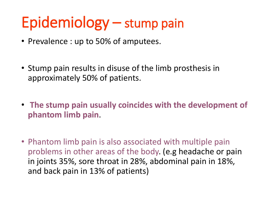# Epidemiology – stump pain

- Prevalence : up to 50% of amputees.
- Stump pain results in disuse of the limb prosthesis in approximately 50% of patients.
- **The stump pain usually coincides with the development of phantom limb pain**.
- Phantom limb pain is also associated with multiple pain problems in other areas of the body. (e.g headache or pain in joints 35%, sore throat in 28%, abdominal pain in 18%, and back pain in 13% of patients)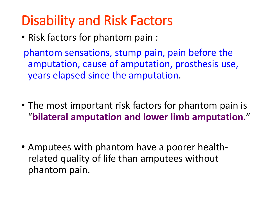# Disability and Risk Factors

• Risk factors for phantom pain :

phantom sensations, stump pain, pain before the amputation, cause of amputation, prosthesis use, years elapsed since the amputation.

- The most important risk factors for phantom pain is "**bilateral amputation and lower limb amputation.**"
- Amputees with phantom have a poorer healthrelated quality of life than amputees without phantom pain.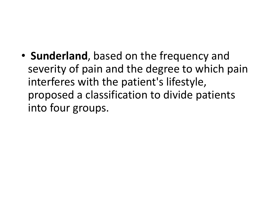• **Sunderland**, based on the frequency and severity of pain and the degree to which pain interferes with the patient's lifestyle, proposed a classification to divide patients into four groups.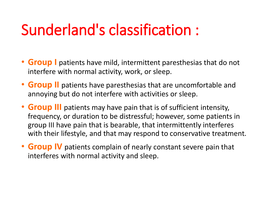# Sunderland's classification :

- **Group** I patients have mild, intermittent paresthesias that do not interfere with normal activity, work, or sleep.
- **Group II** patients have paresthesias that are uncomfortable and annoying but do not interfere with activities or sleep.
- **Group III** patients may have pain that is of sufficient intensity, frequency, or duration to be distressful; however, some patients in group III have pain that is bearable, that intermittently interferes with their lifestyle, and that may respond to conservative treatment.
- **Group IV** patients complain of nearly constant severe pain that interferes with normal activity and sleep.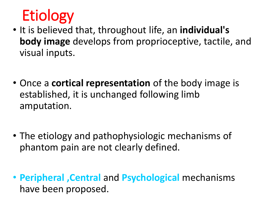# **Etiology**

- It is believed that, throughout life, an **individual's body image** develops from proprioceptive, tactile, and visual inputs.
- Once a **cortical representation** of the body image is established, it is unchanged following limb amputation.
- The etiology and pathophysiologic mechanisms of phantom pain are not clearly defined.
- **Peripheral ,Central** and **Psychological** mechanisms have been proposed.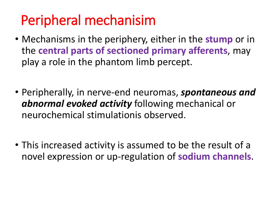# Peripheral mechanisim

- Mechanisms in the periphery, either in the **stump** or in the **central parts of sectioned primary afferents**, may play a role in the phantom limb percept.
- Peripherally, in nerve-end neuromas, *spontaneous and abnormal evoked activity* following mechanical or neurochemical stimulationis observed.
- This increased activity is assumed to be the result of a novel expression or up-regulation of **sodium channels**.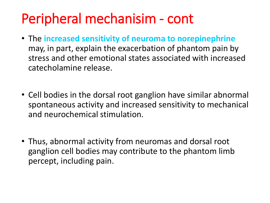# Peripheral mechanisim - cont

- The **increased sensitivity of neuroma to norepinephrine** may, in part, explain the exacerbation of phantom pain by stress and other emotional states associated with increased catecholamine release.
- Cell bodies in the dorsal root ganglion have similar abnormal spontaneous activity and increased sensitivity to mechanical and neurochemical stimulation.
- Thus, abnormal activity from neuromas and dorsal root ganglion cell bodies may contribute to the phantom limb percept, including pain.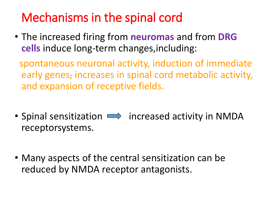## Mechanisms in the spinal cord

• The increased firing from **neuromas** and from **DRG cells** induce long-term changes,including:

spontaneous neuronal activity, induction of immediate early genes, increases in spinal cord metabolic activity, and expansion of receptive fields.

- Spinal sensitization  $\implies$  increased activity in NMDA receptorsystems.
- Many aspects of the central sensitization can be reduced by NMDA receptor antagonists.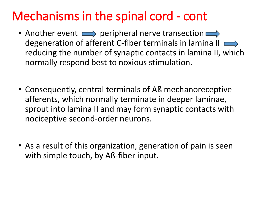## Mechanisms in the spinal cord - cont

- Another event  $\implies$  peripheral nerve transection  $\implies$ degeneration of afferent C-fiber terminals in lamina II  $\implies$ reducing the number of synaptic contacts in lamina II, which normally respond best to noxious stimulation.
- Consequently, central terminals of Aß mechanoreceptive afferents, which normally terminate in deeper laminae, sprout into lamina II and may form synaptic contacts with nociceptive second-order neurons.
- As a result of this organization, generation of pain is seen with simple touch, by Aß-fiber input.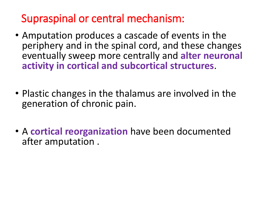## Supraspinal or central mechanism:

- Amputation produces a cascade of events in the periphery and in the spinal cord, and these changes eventually sweep more centrally and **alter neuronal activity in cortical and subcortical structures**.
- Plastic changes in the thalamus are involved in the generation of chronic pain.
- A **cortical reorganization** have been documented after amputation .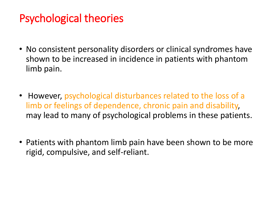## Psychological theories

- No consistent personality disorders or clinical syndromes have shown to be increased in incidence in patients with phantom limb pain.
- However, psychological disturbances related to the loss of a limb or feelings of dependence, chronic pain and disability, may lead to many of psychological problems in these patients.
- Patients with phantom limb pain have been shown to be more rigid, compulsive, and self-reliant.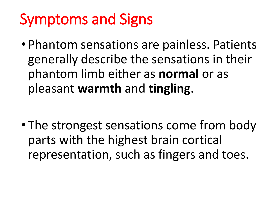# Symptoms and Signs

• Phantom sensations are painless. Patients generally describe the sensations in their phantom limb either as **normal** or as pleasant **warmth** and **tingling**.

• The strongest sensations come from body parts with the highest brain cortical representation, such as fingers and toes.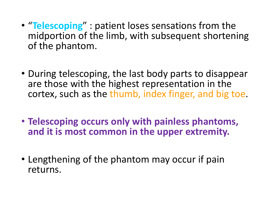- "**Telescoping**" : patient loses sensations from the midportion of the limb, with subsequent shortening of the phantom.
- During telescoping, the last body parts to disappear are those with the highest representation in the cortex, such as the thumb, index finger, and big toe.
- **Telescoping occurs only with painless phantoms, and it is most common in the upper extremity.**
- Lengthening of the phantom may occur if pain returns.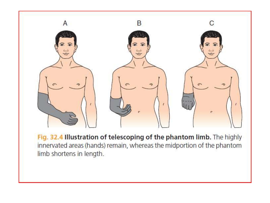

Fig. 32.4 Illustration of telescoping of the phantom limb. The highly innervated areas (hands) remain, whereas the midportion of the phantom limb shortens in length.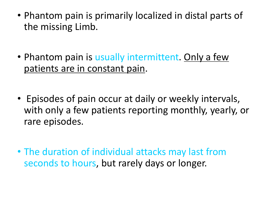- Phantom pain is primarily localized in distal parts of the missing Limb.
- Phantom pain is usually intermittent. Only a few patients are in constant pain.
- Episodes of pain occur at daily or weekly intervals, with only a few patients reporting monthly, yearly, or rare episodes.
- The duration of individual attacks may last from seconds to hours, but rarely days or longer.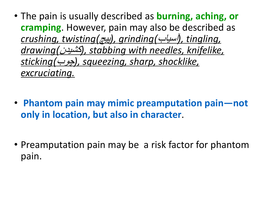- The pain is usually described as **burning, aching, or cramping**. However, pain may also be described as *crushing, twisting)*پیچ*), grinding)*آسیاب*), tingling, drawing)*کشیدن*), stabbing with needles, knifelike, sticking)*چوب*), squeezing, sharp, shocklike, excruciating.*
- **Phantom pain may mimic preamputation pain—not only in location, but also in character**.
- Preamputation pain may be a risk factor for phantom pain.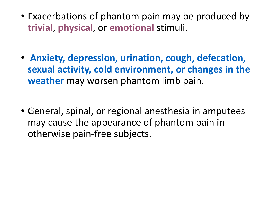- Exacerbations of phantom pain may be produced by **trivial**, **physical**, or **emotional** stimuli.
- **Anxiety, depression, urination, cough, defecation, sexual activity, cold environment, or changes in the weather** may worsen phantom limb pain.
- General, spinal, or regional anesthesia in amputees may cause the appearance of phantom pain in otherwise pain-free subjects.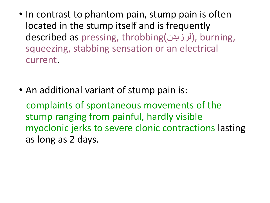- In contrast to phantom pain, stump pain is often located in the stump itself and is frequently described as pressing, throbbing)لرزیدن), burning, squeezing, stabbing sensation or an electrical current.
- An additional variant of stump pain is:

complaints of spontaneous movements of the stump ranging from painful, hardly visible myoclonic jerks to severe clonic contractions lasting as long as 2 days.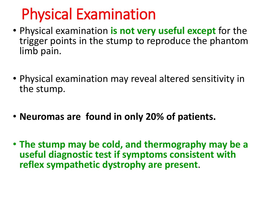# Physical Examination

- Physical examination **is not very useful except** for the trigger points in the stump to reproduce the phantom limb pain.
- Physical examination may reveal altered sensitivity in the stump.
- **Neuromas are found in only 20% of patients.**
- **The stump may be cold, and thermography may be a useful diagnostic test if symptoms consistent with reflex sympathetic dystrophy are present**.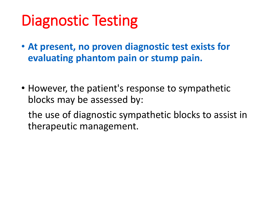# Diagnostic Testing

- **At present, no proven diagnostic test exists for evaluating phantom pain or stump pain.**
- However, the patient's response to sympathetic blocks may be assessed by:

the use of diagnostic sympathetic blocks to assist in therapeutic management.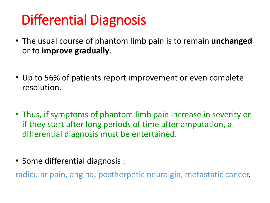# Differential Diagnosis

- The usual course of phantom limb pain is to remain **unchanged** or to **improve gradually**.
- Up to 56% of patients report improvement or even complete resolution.
- Thus, if symptoms of phantom limb pain increase in severity or if they start after long periods of time after amputation, a differential diagnosis must be entertained.
- Some differential diagnosis :

radicular pain, angina, postherpetic neuralgia, metastatic cancer.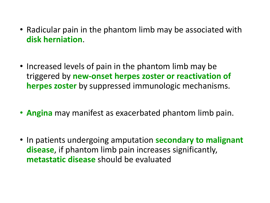- Radicular pain in the phantom limb may be associated with **disk herniation**.
- Increased levels of pain in the phantom limb may be triggered by **new-onset herpes zoster or reactivation of herpes zoster** by suppressed immunologic mechanisms.
- **Angina** may manifest as exacerbated phantom limb pain.
- In patients undergoing amputation **secondary to malignant disease**, if phantom limb pain increases significantly, **metastatic disease** should be evaluated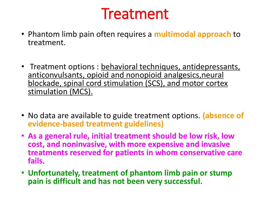# Treatment

- Phantom limb pain often requires a **multimodal approach** to treatment.
- Treatment options : behavioral techniques, antidepressants, anticonvulsants, opioid and nonopioid analgesics,neural blockade, spinal cord stimulation (SCS), and motor cortex stimulation (MCS).
- No data are available to guide treatment options. **(absence of evidence-based treatment guidelines)**
- **As a general rule, initial treatment should be low risk, low cost, and noninvasive, with more expensive and invasive treatments reserved for patients in whom conservative care fails**.
- **Unfortunately, treatment of phantom limb pain or stump pain is difficult and has not been very successful**.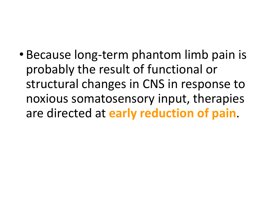• Because long-term phantom limb pain is probably the result of functional or structural changes in CNS in response to noxious somatosensory input, therapies are directed at **early reduction of pain**.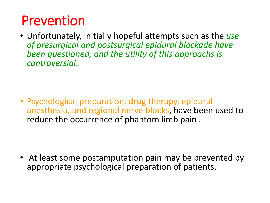## Prevention

• Unfortunately, initially hopeful attempts such as the *use of presurgical and postsurgical epidural blockade have been questioned, and the utility of this approachs is controversial*.

• Psychological preparation, drug therapy, epidural anesthesia, and regional nerve blocks, have been used to reduce the occurrence of phantom limb pain .

• At least some postamputation pain may be prevented by appropriate psychological preparation of patients.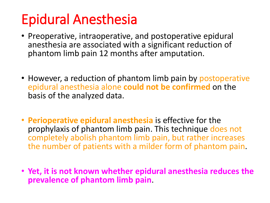# Epidural Anesthesia

- Preoperative, intraoperative, and postoperative epidural anesthesia are associated with a significant reduction of phantom limb pain 12 months after amputation.
- However, a reduction of phantom limb pain by postoperative epidural anesthesia alone **could not be confirmed** on the basis of the analyzed data.
- **Perioperative epidural anesthesia** is effective for the prophylaxis of phantom limb pain. This technique does not completely abolish phantom limb pain, but rather increases the number of patients with a milder form of phantom pain.
- **Yet, it is not known whether epidural anesthesia reduces the prevalence of phantom limb pain**.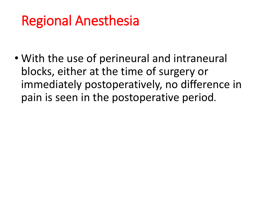# Regional Anesthesia

• With the use of perineural and intraneural blocks, either at the time of surgery or immediately postoperatively, no difference in pain is seen in the postoperative period.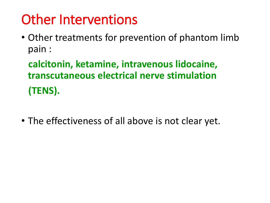# Other Interventions

• Other treatments for prevention of phantom limb pain :

**calcitonin, ketamine, intravenous lidocaine, transcutaneous electrical nerve stimulation (TENS).**

• The effectiveness of all above is not clear yet.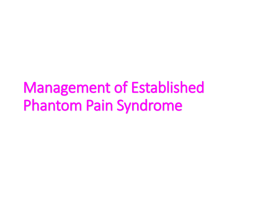# Management of Established Phantom Pain Syndrome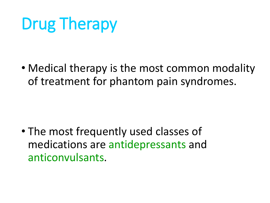# Drug Therapy

• Medical therapy is the most common modality of treatment for phantom pain syndromes.

• The most frequently used classes of medications are antidepressants and anticonvulsants.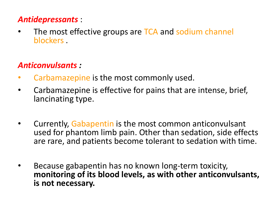### *Antidepressants* :

The most effective groups are TCA and sodium channel blockers .

### *Anticonvulsants :*

- Carbamazepine is the most commonly used.
- Carbamazepine is effective for pains that are intense, brief, lancinating type.
- Currently, Gabapentin is the most common anticonvulsant used for phantom limb pain. Other than sedation, side effects are rare, and patients become tolerant to sedation with time.
- Because gabapentin has no known long-term toxicity, **monitoring of its blood levels, as with other anticonvulsants, is not necessary.**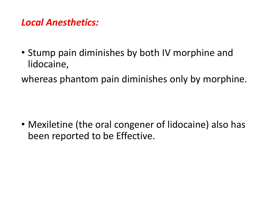### *Local Anesthetics:*

• Stump pain diminishes by both IV morphine and lidocaine,

whereas phantom pain diminishes only by morphine.

• Mexiletine (the oral congener of lidocaine) also has been reported to be Effective.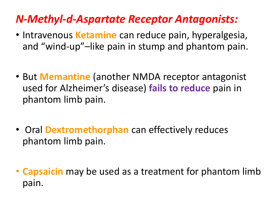## *N-Methyl-d-Aspartate Receptor Antagonists:*

- Intravenous **Ketamine** can reduce pain, hyperalgesia, and "wind-up"–like pain in stump and phantom pain.
- But **Memantine** (another NMDA receptor antagonist used for Alzheimer's disease) **fails to reduce** pain in phantom limb pain.
- Oral **Dextromethorphan** can effectively reduces phantom limb pain.
- **Capsaicin** may be used as a treatment for phantom limb pain.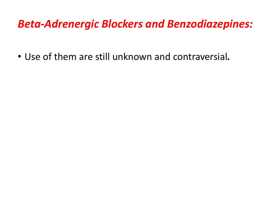### *Beta-Adrenergic Blockers and Benzodiazepines:*

• Use of them are still unknown and contraversial*.*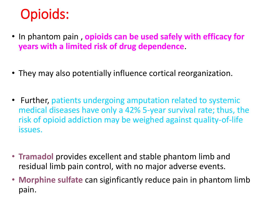## Opioids:

- In phantom pain , **opioids can be used safely with efficacy for years with a limited risk of drug dependence**.
- They may also potentially influence cortical reorganization.
- Further, patients undergoing amputation related to systemic medical diseases have only a 42% 5-year survival rate; thus, the risk of opioid addiction may be weighed against quality-of-life issues.
- **Tramadol** provides excellent and stable phantom limb and residual limb pain control, with no major adverse events.
- **Morphine sulfate** can siginficantly reduce pain in phantom limb pain.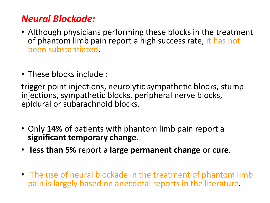### *Neural Blockade:*

- Although physicians performing these blocks in the treatment of phantom limb pain report a high success rate, it has not been substantiated.
- These blocks include :

trigger point injections, neurolytic sympathetic blocks, stump injections, sympathetic blocks, peripheral nerve blocks, epidural or subarachnoid blocks.

- Only **14%** of patients with phantom limb pain report a **significant temporary change**.
- **less than 5%** report a **large permanent change** or **cure**.
- The use of neural blockade in the treatment of phantom limb pain is largely based on anecdotal reports in the literature.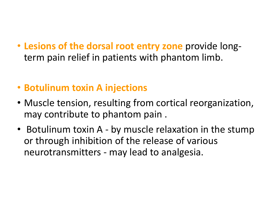- **Lesions of the dorsal root entry zone** provide longterm pain relief in patients with phantom limb.
- **Botulinum toxin A injections**
- Muscle tension, resulting from cortical reorganization, may contribute to phantom pain .
- Botulinum toxin A by muscle relaxation in the stump or through inhibition of the release of various neurotransmitters - may lead to analgesia.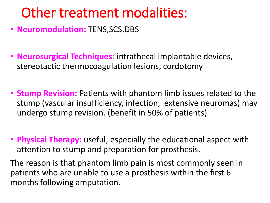## Other treatment modalities:

- **Neuromodulation:** TENS,SCS,DBS
- **Neurosurgical Techniques:** intrathecal implantable devices, stereotactic thermocoagulation lesions, cordotomy
- **Stump Revision:** Patients with phantom limb issues related to the stump (vascular insufficiency, infection, extensive neuromas) may undergo stump revision. (benefit in 50% of patients)
- **Physical Therapy:** useful, especially the educational aspect with attention to stump and preparation for prosthesis.

The reason is that phantom limb pain is most commonly seen in patients who are unable to use a prosthesis within the first 6 months following amputation.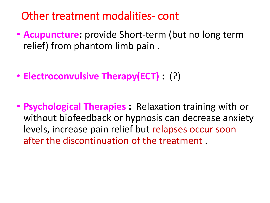## Other treatment modalities- cont

- **Acupuncture:** provide Short-term (but no long term relief) from phantom limb pain .
- **Electroconvulsive Therapy(ECT) :** (?)
- **Psychological Therapies :** Relaxation training with or without biofeedback or hypnosis can decrease anxiety levels, increase pain relief but relapses occur soon after the discontinuation of the treatment .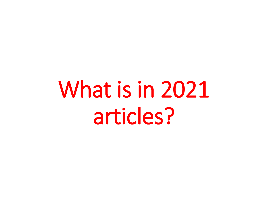What is in 2021 articles?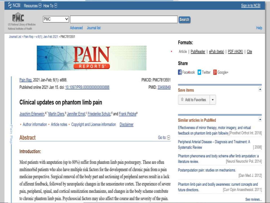#### Resources <a>
<a>
Resources<br/>
</a>
Resources **NCBI** Sign in to NCBI PMC v **Search** US National Library of Medicine Help Advanced **Journal list** National Institutes of Health Journal List > Pain Rep > v.6(1); Jan-Feb 2021 > PMC7813551 Formats: Article | PubReader | ePub (beta) | PDF (442K) | Cite Share Facebook V Twitter & Google+ Pain Rep. 2021 Jan-Feb; 6(1): e888. PMCID: PMC7813551 Published online 2021 Jan 15, doi: 10.1097/PR9.0000000000000888 PMID: 33490849 × Save items the Add to Favorites v. Clinical updates on phantom limb pain Joachim Erlenwein,<sup>a,\*</sup> Martin Diers,<sup>b</sup> Jennifer Ernst,<sup>c</sup> Friederike Schulz,<sup>d</sup> and Frank Petzke<sup>a</sup> ٠ Similar articles in PubMed Author information • Article notes • Copyright and License information Disclaimer Pain Rep Effectiveness of mirror therapy, motor imagery, and virtual feedback on phantom limb pain followin( Prosthet Orthot Int. 2018) Abstract Go to:  $\boxed{\vee}$ Peripheral Arterial Disease - Diagnosis and Treatment: A **Systematic Review**  $[2008]$ Introduction: Phantom phenomena and body scheme after limb amputation: a literature review. fNeurol Neurochir Pol. 20141 Most patients with amputation (up to 80%) suffer from phantom limb pain postsurgery. These are often multimorbid patients who also have multiple risk factors for the development of chronic pain from a pain Postamputation pain: studies on mechanisms. [Dan Med J. 2012] medicine perspective. Surgical removal of the body part and sectioning of peripheral nerves result in a lack

of afferent feedback, followed by neuroplastic changes in the sensorimotor cortex. The experience of severe

pain, peripheral, spinal, and cortical sensitization mechanisms, and changes in the body scheme contribute to chronic phantom limb pain. Psychosocial factors may also affect the course and the severity of the pain. Phantom limb pain and bodily awareness: current concepts and [Curr Opin Anaesthesiol. 2011] future directions.

#### See reviews...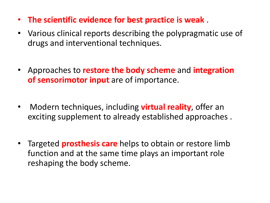- **The scientific evidence for best practice is weak** .
- Various clinical reports describing the polypragmatic use of drugs and interventional techniques.
- Approaches to **restore the body scheme** and **integration of sensorimotor input** are of importance.
- Modern techniques, including **virtual reality**, offer an exciting supplement to already established approaches .
- Targeted **prosthesis care** helps to obtain or restore limb function and at the same time plays an important role reshaping the body scheme.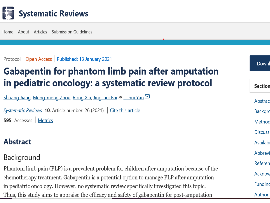

Home About Articles Submission Guidelines

#### Protocol | Open Access | Published: 13 January 2021

## **Gabapentin for phantom limb pain after amputation** in pediatric oncology: a systematic review protocol

Shuang Jiang, Meng-meng Zhou, Rong Xia, Jing-hui Bai & Li-hui Yan ⊠

Systematic Reviews 10, Article number: 26 (2021)  $\int$  Cite this article 595 Accesses | Metrics

#### **Abstract**

### Background

Phantom limb pain (PLP) is a prevalent problem for children after amputation because of the chemotherapy treatment. Gabapentin is a potential option to manage PLP after amputation in pediatric oncology. However, no systematic review specifically investigated this topic. Thus, this study aims to appraise the efficacy and safety of gabapentin for post-amputation

#### Downl

#### **Section**

Abstrac **Backgro** 

Method

**Discuss** 

Availabi

Abbrevi

Referen

Acknow

Funding

Author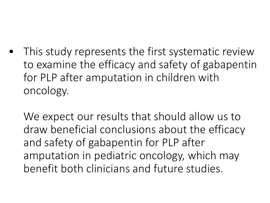• This study represents the first systematic review to examine the efficacy and safety of gabapentin for PLP after amputation in children with oncology.

We expect our results that should allow us to draw beneficial conclusions about the efficacy and safety of gabapentin for PLP after amputation in pediatric oncology, which may benefit both clinicians and future studies.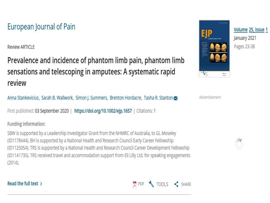### European Journal of Pain

Review ARTICLE

Prevalence and incidence of phantom limb pain, phantom limb sensations and telescoping in amputees: A systematic rapid review

Anna Stankevicius, Sarah B. Wallwork, Simon J. Summers, Brenton Hordacre, Tasha R. Stanton

First published: 03 September 2020 | https://doi.org/10.1002/ejp.1657 | Citations: 1

#### Funding information:

SBW is supported by a Leadership Investigator Grant from the NHMRC of Australia, to GL Moseley (ID1178444). BH is supported by a National Health and Research Council Early Career Fellowship (ID1125054). TRS is supported by a National Health and Research Council Career Development Fellowship (ID1141735). TRS received travel and accommodation support from Eli Lilly Ltd. for speaking engagements  $(2014).$ 



Volume 25, Issue 1 January 2021 Pages 23-38

Advertisement



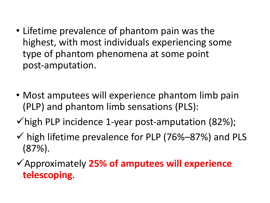- Lifetime prevalence of phantom pain was the highest, with most individuals experiencing some type of phantom phenomena at some point post‐amputation.
- Most amputees will experience phantom limb pain (PLP) and phantom limb sensations (PLS):
- $\checkmark$  high PLP incidence 1-year post-amputation (82%);
- $\checkmark$  high lifetime prevalence for PLP (76%–87%) and PLS (87%).
- ✓Approximately **25% of amputees will experience telescoping**.